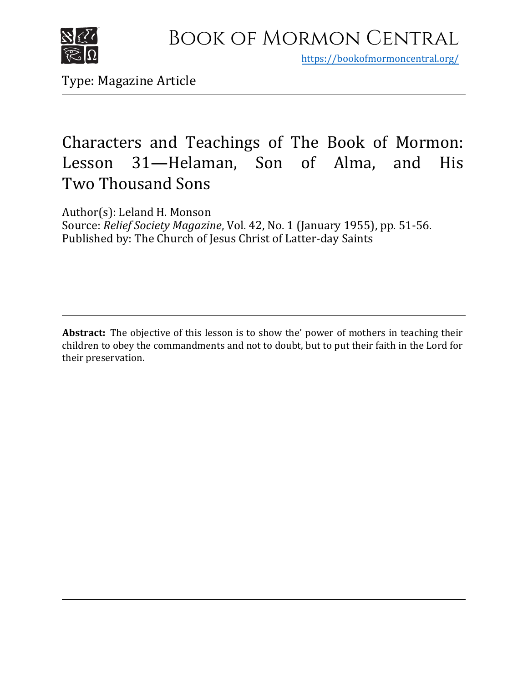

https[://bookofmormoncentral.org/](http://bookofmormoncentral.org/)

Type: Magazine Article

# Characters and Teachings of The Book of Mormon: Lesson 31—Helaman, Son of Alma, and His Two Thousand Sons

Author(s): Leland H. Monson Source: *Relief Society Magazine*, Vol. 42, No. 1 (January 1955), pp. 51-56. Published by: The Church of Jesus Christ of Latter-day Saints

**Abstract:** The objective of this lesson is to show the' power of mothers in teaching their children to obey the commandments and not to doubt, but to put their faith in the Lord for their preservation.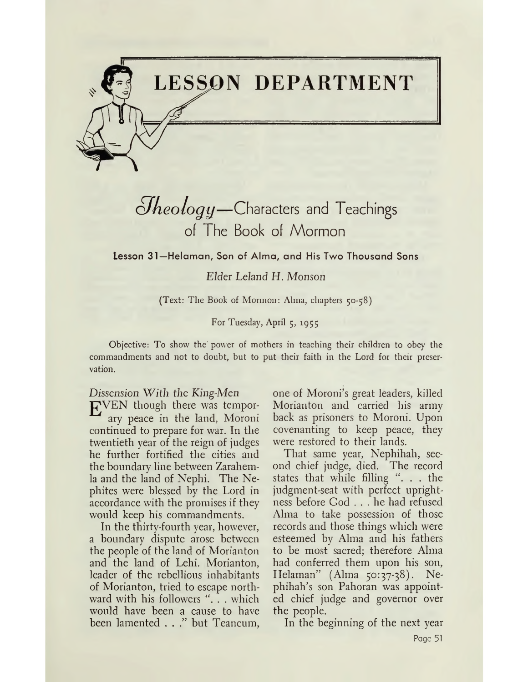

# $\partial$ *heology*—Characters and Teachings of The Book of Mormon

**Lesson 31—Helaman, Son of Alma, and His Two Thousand Sons**

*Elder Leland H. Monson*

(Text: The Book of Mormon: Alma, chapters 50-58)

For Tuesday, April 5, 1955

Objective: To show the' power of mothers in teaching their children to obey the commandments and not to doubt, but to put their faith in the Lord for their preservation.

*Dissension With the King-Men* ]£VEN though there was temporary peace in the land, Moroni continued to prepare for war. In the

twentieth year of the reign of judges he further fortified the cities and the boundary line between Zarahemla and the land of Nephi. The Nephites were blessed by the Lord in accordance with the promises if they would keep his commandments.

In the thirty-fourth year, however, a boundary dispute arose between the people of the land of Morianton and the land of Lehi. Morianton, leader of the rebellious inhabitants of Morianton, tried to escape northward with his followers "... which would have been a cause to have been lamented . . ." but Teancum, one of Moroni's great leaders, killed Morianton and carried his army back as prisoners to Moroni. Upon covenanting to keep peace, they were restored to their lands.

That same year, Nephihah, second chief judge, died. The record states that while filling ". . . the judgment-seat with perfect uprightness before God ... he had refused Alma to take possession of those records and those things which were esteemed by Alma and his fathers to be most sacred; therefore Alma had conferred them upon his son, Helaman" (Alma 50:37-38). Nephihah'<sup>s</sup> son Pahoran was appointed chief judge and governor over the people.

In the beginning of the next year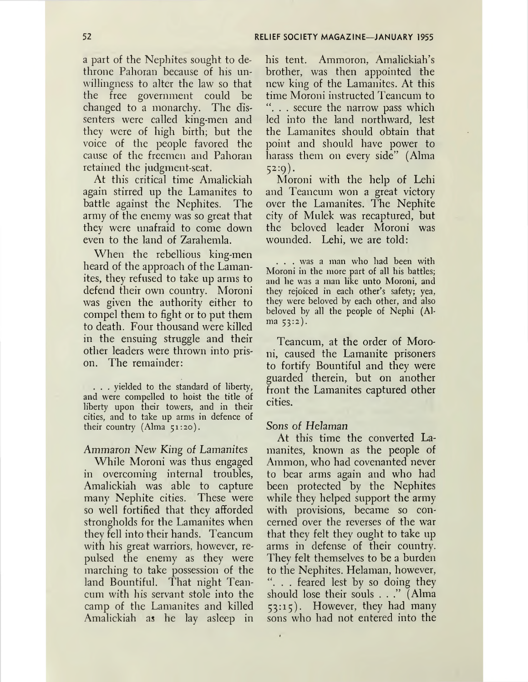a part of the Nephites sought to dethrone Pahoran because of his unwillingness to alter the law so that the free government could be changed to a monarchy. The dissenters were called king-men and they were of high birth; but the voice of the people favored the cause of the freemen and Pahoran retained the judgment-seat.

At this critical time Amalickiah again stirred up the Lamanites to battle against the Nephites. The army of the enemy was so great that they were unafraid to come down even to the land of Zarahemla.

When the rebellious king-men heard of the approach of the Lamanites, they refused to take up arms to defend their own country. Moroni was given the authority either to compel them to fight or to put them to death. Four thousand were killed in the ensuing struggle and their other leaders were thrown into prison. The remainder:

. . . yielded to the standard of liberty, and were compelled to hoist the title of liberty upon their towers, and in their cities, and to take up arms in defence of their country (Alma 51:20).

### *Ammaron New King of Lamanites*

While Moroni was thus engaged in overcoming internal troubles, Amalickiah was able to capture many Nephite cities. These were so well fortified that they afforded strongholds for the Lamanites when they fell into their hands. Teancum with his great warriors, however, repulsed the enemy as they were marching to take possession of the land Bountiful. That night Teancum with his servant stole into the camp of the Lamanites and killed Amalickiah as he lay asleep in

his tent. Ammoron, Amalickiah'<sup>s</sup> brother, was then appointed the new king of the Lamanites. At this time Moroni instructed Teancum to . . secure the narrow pass which led into the land northward, lest the Lamanites should obtain that point and should have power to harass them on every side'" (Alma 52:9).

Moroni with the help of Lehi and Teancum won a great victory over the Lamanites. The Nephite city of Mulek was recaptured, but the beloved leader Moroni was wounded. Lehi, we are told:

. . . was a man who had been with Moroni in the more part of all his battles; and he was a man like unto Moroni, and they rejoiced in each other'<sup>s</sup> safety; yea, they were beloved by each other, and also beloved by all the people of Nephi (Alma 53:2).

Teancum, at the order of Moroni, caused the Lamanite prisoners to fortify Bountiful and they were guarded therein, but on another front the Lamanites captured other cities.

#### Sons of *Helaman*

At this time the converted Lamanites, known as the people of Ammon, who had covenanted never to bear arms again and who had been protected by the Nephites while they helped support the army with provisions, became so concerned over the reverses of the war that they felt they ought to take up arms in defense of their country. They felt themselves to be a burden to the Nephites. Helaman, however, ". . . feared lest by so doing they should lose their souls . . ." (Alma 53:15). However, they had many sons who had not entered into the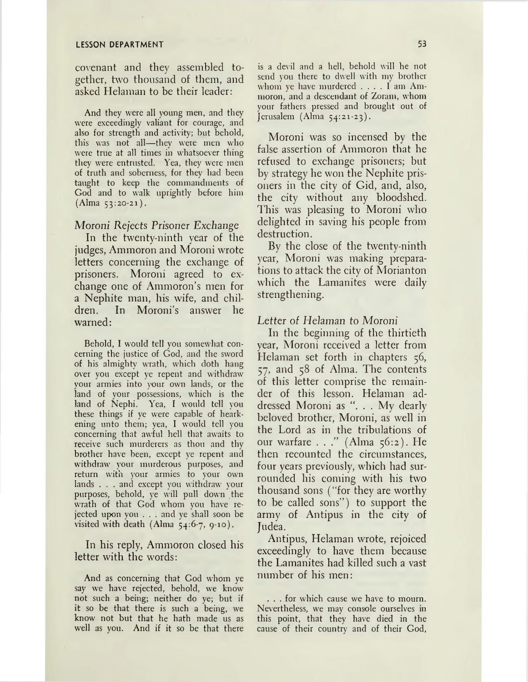#### **LESSON DEPARTMENT 53**

covenant and they assembled together, two thousand of them, and asked Helaman to be their leader:

And they were all young men, and they were exceedingly valiant for courage, and also for strength and activity; but behold, this was not all—they were men who were true at all times in whatsoever thing they were entrusted. Yea, they were men of truth and soberness, for they had been taught to keep the commandments of God and to walk uprightly before him (Alma 53:20-21).

#### Moroni *Rejects Prisoner Exchange*

In the twenty-ninth year of the judges, Ammoron and Moroni wrote letters concerning the exchange of prisoners. Moroni agreed to exchange one of Ammoron's men for a Nephite man, his wife, and children. In Moroni's answer he warned:

Behold, I would tell you somewhat concerning the justice of God, and the sword of his almighty wrath, which doth hang over you except ye repent and withdraw your armies into your own lands, or the land of your possessions, which is the land of Nephi. Yea, I would tell you these things if ye were capable of hearkening unto them; yea, I would tell you concerning that awful hell that awaits to receive such murderers as thou and thy brother have been, except ye repent and withdraw your murderous purposes, and return with your armies to your own lands . . . and except you withdraw your purposes, behold, ye will pull down the wrath of that God whom you have rejected upon you . . . and ye shall soon be visited with death (Alma  $54:6-7, 9-10$ ).

In his reply, Ammoron closed his letter with the words:

And as concerning that God whom ye say we have rejected, behold, we know not such a being; neither do ye; but if it so be that there is such a being, we know not but that he hath made us as well as you. And if it so be that there

is a devil and a hell, behold will he not send you there to dwell with my brother whom ye have murdered .... <sup>I</sup> am Ammoron, and a descendant of Zoram, whom your fathers pressed and brought out of Jerusalem (Alma 54:21-23).

Moroni was so incensed by the false assertion of Ammoron that he refused to exchange prisoners; but by strategy he won the Nephite prisoners in the city of Gid, and, also, the city without any bloodshed. This was pleasing to Moroni who delighted in saving his people from destruction.

By the close of the twenty-ninth year, Moroni was making preparations to attack the city of Morianton which the Lamanites were daily strengthening.

#### *Letter of Helaman to Moroni*

In the beginning of the thirtieth year, Moroni received a letter from Helaman set forth in chapters 56, 57, and 58 of Alma. The contents of this letter comprise the remainder of this lesson. Helaman addressed Moroni as ". . . My dearly beloved brother, Moroni, as well in the Lord as in the tribulations of our warfare . . ." (Alma 56:2). He then recounted the circumstances, four years previously, which had surrounded his coming with his two thousand sons ("for they are worthy to be called sons") to support the army of Antipus in the city of Judea.

Antipus, Helaman wrote, rejoiced exceedingly to have them because the Lamanites had killed such a vast number of his men:

... for which cause we have to mourn. Nevertheless, we may console ourselves in this point, that they have died in the cause of their country and of their God,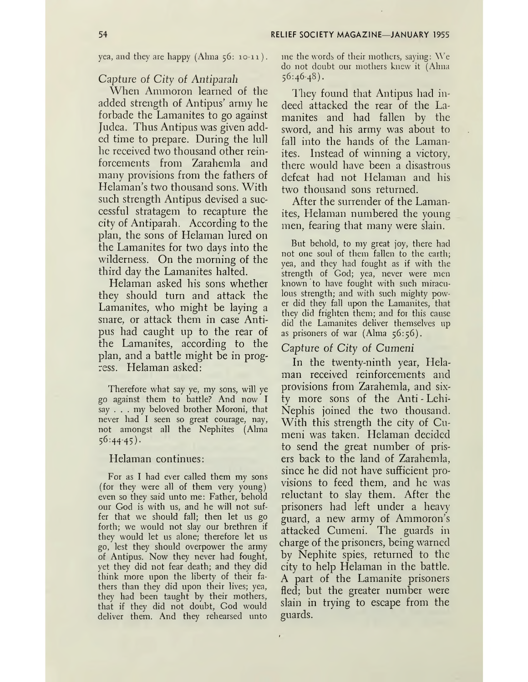yea, and they are happy (Alma 56: 10-11 ).

#### *Capture* of *City* of *Antiparah*

When Ammoron learned of the added strength of Antipus' army he forbade the Lamanites to go against Judea. Thus Antipus was given added time to prepare. During the lull he received two thousand other reinforcements from Zarahemla and many provisions from the fathers of Helaman'<sup>s</sup> two thousand sons. With such strength Antipus devised a successful stratagem to recapture the city of Antiparah. According to the plan, the sons of Helaman lured on the Lamanites for two days into the wilderness. On the morning of the third day the Lamanites halted.

Helaman asked his sons whether they should turn and attack the Lamanites, who might be laying a snare, or attack them in case Antipus had caught up to the rear of the Lamanites, according to the plan, and a battle might be in progress. Helaman asked:

Therefore what say ye, my sons, will ye go against them to battle? And now I say . . . my beloved brother Moroni, that never had I seen so great courage, nay, not amongst all the Nephites (Alma 56:44-45).

#### Helaman continues:

For as I had ever called them my sons (for they were all of them very young) even so they said unto me: Father, behold our God is with us, and he will not suffer that we should fall; then let us go forth; we would not slay our brethren if they would let us alone; therefore let us go, lest they should overpower the army of Antipus. Now they never had fought, yet they did not fear death; and they did think more upon the liberty of their fathers than they did upon their lives; yea, they had been taught by their mothers, that if they did not doubt, God would deliver them. And they rehearsed unto

me the words of their mothers, saying: We do not doubt our mothers knew it (Alma  $56:46-48$ .

They found that Antipus had indeed attacked the rear of the Lamanites and had fallen by the sword, and his army was about to fall into the hands of the Lamanites. Instead of winning a victory, there would have been a disastrous defeat had not Helaman and his two thousand sons returned.

After the surrender of the Lamanites, Helaman numbered the young men, fearing that many were slain.

But behold, to my great joy, there had not one soul of them fallen to the earth; yea, and they had fought as if with the strength of God; yea, never were men known to have fought with such miraculous strength; and with such mighty power did they fall upon the Lamanites, that they did frighten them; and for this cause did the Lamanites deliver themselves up as prisoners of war  $(Alma 56:56)$ .

#### Capture of *City of Cumeni*

In the twenty-ninth year, Helaman received reinforcements and provisions from Zarahemla, and sixty more sons of the Anti - Lehi-Nephis joined the two thousand. With this strength the city of Cumeni was taken. Helaman decided to send the great number of prisers back to the land of Zarahemla, since he did not have sufficient provisions to feed them, and he was reluctant to slay them. After the prisoners had left under a heavy guard, a new army of Ammoron'<sup>s</sup> attacked Cumeni. The guards in charge of the prisoners, being warned by Nephite spies, returned to the city to help Helaman in the battle. A part of the Lamanite prisoners fled; but the greater number were slain in trying to escape from the guards.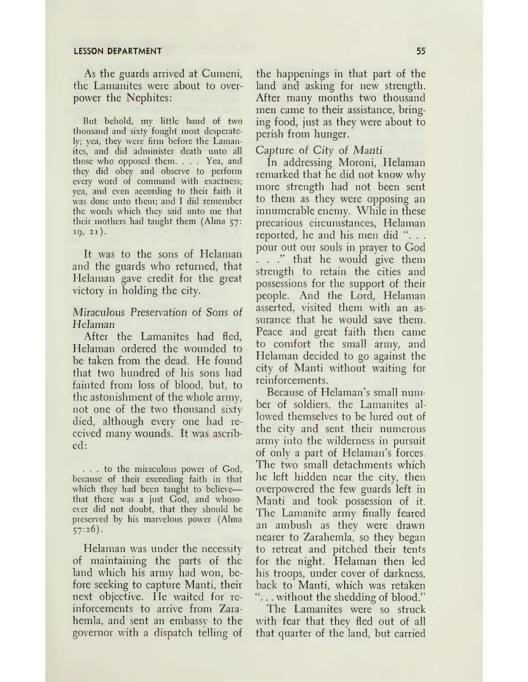#### **LESSON DEPARTMENT 55**

As the guards arrived at Cumeni, the Lamanites were about to overpower the Nephites:

But behold, my little band of two thousand and sixty fought most desperately; yea, they were firm before the Lamanites, and did administer death unto all those who opposed them. . . . Yea, and they did obey and observe to perform every word of command with exactness; yea, and even according to their faith it was done unto them; and I did remember the words which they said unto me that their mothers had taught them (Alma 57: 19, 21).

It was to the sons of Helaman and the guards who returned, that Helaman gave credit for the great victory in holding the city.

# *Miraculous Preservation of Sons of* Helaman

After the Lamanites had fled, Helaman ordered the wounded to be taken from the dead. He found that two hundred of his sons had fainted from loss of blood, but, to the astonishment of the whole army, not one of the two thousand sixty died, although every one had received many wounds. It was ascribed:

... to the miraculous power of God, because of their exceeding faith in that which they had been taught to believe that there was a just God, and whosoever did not doubt, that they should be preserved by his marvelous power (Alma 57:26).

Helaman was under the necessity of maintaining the parts of the land which his army had won, before seeking to capture Manti, their next objective. He waited for reinforcements to arrive from Zarahemla, and sent an embassy to the governor with a dispatch telling of

the happenings in that part of the land and asking for new strength. After many months two thousand men came to their assistance, bringing food, just as they were about to perish from hunger.

Capture of *City of Manti*

In addressing Moroni, Helaman remarked that he did not know why more strength had not been sent to them as they were opposing an innumerable enemy. While in these precarious circumstances, Helaman reported, he and his men did ". . . pour out our souls in prayer to God . . ." that he would give them strength to retain the cities and possessions for the support of their people. And the Lord, Helaman asserted, visited them with an assurance that he would save them. Peace and great faith then came to comfort the small army, and Helaman decided to go against the city of Manti without waiting for reinforcements.

Because of Helaman's small number of soldiers, the Lamanites allowed themselves to be lured out of the city and sent their numerous army into the wilderness in pursuit of only a part of Helaman'<sup>s</sup> forces. The two small detachments which he left hidden near the city, then overpowered the few guards left in Manti and took possession of it. The Lamanite army finally feared an ambush as they were drawn nearer to Zarahemla, so they began to retreat and pitched their tents for the night. Helaman then led his troops, under cover of darkness, back to Manti, which was retaken . without the shedding of blood?'

The Lamanites were so struck with fear that they fled out of all that quarter of the land, but carried